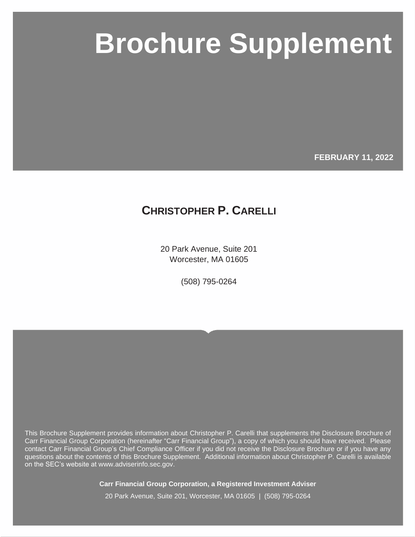# **Carr Financial Group Corporation Brochure Supplement Brochure Supplement**

**FEBRUARY 11, 2022**

## **CHRISTOPHER P. CARELLI**

20 Park Avenue, Suite 201 Worcester, MA 01605

(508) 795-0264

This Brochure Supplement provides information about Christopher P. Carelli that supplements the Disclosure Brochure of Carr Financial Group Corporation (hereinafter "Carr Financial Group"), a copy of which you should have received. Please contact Carr Financial Group's Chief Compliance Officer if you did not receive the Disclosure Brochure or if you have any questions about the contents of this Brochure Supplement. Additional information about Christopher P. Carelli is available on the SEC's website at www.adviserinfo.sec.gov.

**Carr Financial Group Corporation, a Registered Investment Adviser**

20 Park Avenue, Suite 201, Worcester, MA 01605 | (508) 795-0264

Page i © MarketCounsel 2021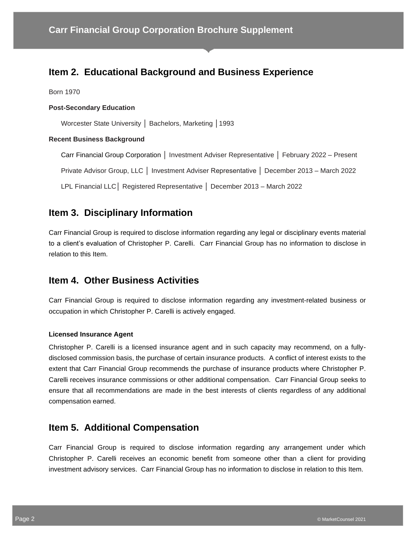## **Item 2. Educational Background and Business Experience**

Born 1970

#### **Post-Secondary Education**

Worcester State University │ Bachelors, Marketing │1993

#### **Recent Business Background**

Carr Financial Group Corporation │ Investment Adviser Representative │ February 2022 – Present

Private Advisor Group, LLC │ Investment Adviser Representative │ December 2013 – March 2022

LPL Financial LLC│ Registered Representative │ December 2013 – March 2022

## **Item 3. Disciplinary Information**

Carr Financial Group is required to disclose information regarding any legal or disciplinary events material to a client's evaluation of Christopher P. Carelli. Carr Financial Group has no information to disclose in relation to this Item.

#### **Item 4. Other Business Activities**

Carr Financial Group is required to disclose information regarding any investment-related business or occupation in which Christopher P. Carelli is actively engaged.

#### **Licensed Insurance Agent**

Christopher P. Carelli is a licensed insurance agent and in such capacity may recommend, on a fullydisclosed commission basis, the purchase of certain insurance products. A conflict of interest exists to the extent that Carr Financial Group recommends the purchase of insurance products where Christopher P. Carelli receives insurance commissions or other additional compensation. Carr Financial Group seeks to ensure that all recommendations are made in the best interests of clients regardless of any additional compensation earned.

### **Item 5. Additional Compensation**

Carr Financial Group is required to disclose information regarding any arrangement under which Christopher P. Carelli receives an economic benefit from someone other than a client for providing investment advisory services. Carr Financial Group has no information to disclose in relation to this Item.